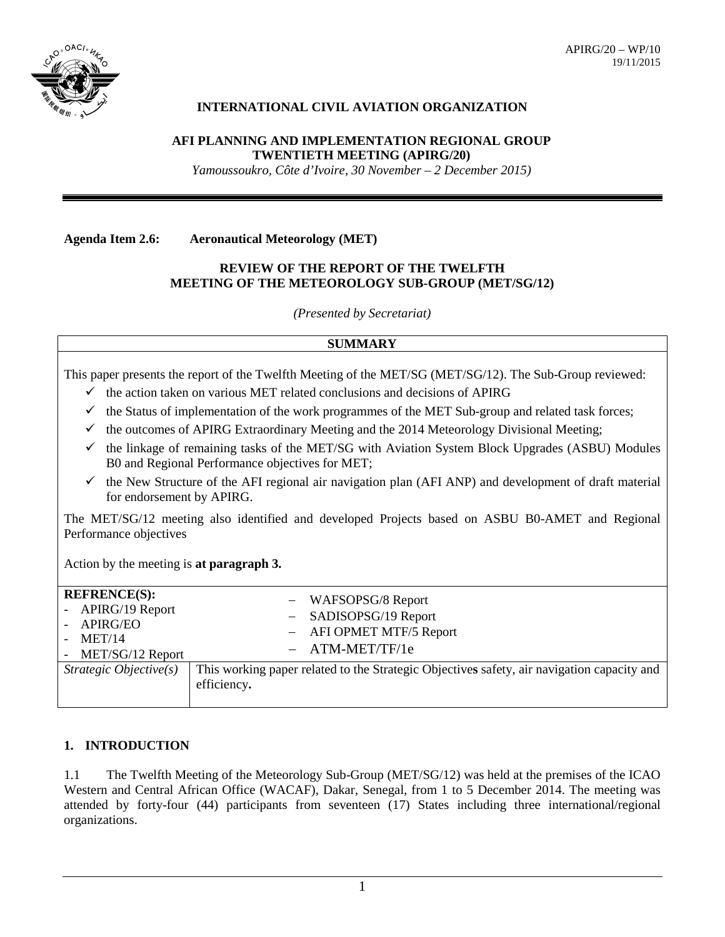

# **INTERNATIONAL CIVIL AVIATION ORGANIZATION**

#### **AFI PLANNING AND IMPLEMENTATION REGIONAL GROUP TWENTIETH MEETING (APIRG/20)**

*Yamoussoukro, Côte d'Ivoire, 30 November – 2 December 2015)*

**Agenda Item 2.6: Aeronautical Meteorology (MET)**

## **REVIEW OF THE REPORT OF THE TWELFTH MEETING OF THE METEOROLOGY SUB-GROUP (MET/SG/12)**

*(Presented by Secretariat)*

## **SUMMARY**

This paper presents the report of the Twelfth Meeting of the MET/SG (MET/SG/12). The Sub-Group reviewed:

- $\checkmark$  the action taken on various MET related conclusions and decisions of APIRG
- $\checkmark$  the Status of implementation of the work programmes of the MET Sub-group and related task forces;
- $\checkmark$  the outcomes of APIRG Extraordinary Meeting and the 2014 Meteorology Divisional Meeting;
- $\checkmark$  the linkage of remaining tasks of the MET/SG with Aviation System Block Upgrades (ASBU) Modules B0 and Regional Performance objectives for MET;
- $\checkmark$  the New Structure of the AFI regional air navigation plan (AFI ANP) and development of draft material for endorsement by APIRG.

The MET/SG/12 meeting also identified and developed Projects based on ASBU B0-AMET and Regional Performance objectives

Action by the meeting is **at paragraph 3.**

| <b>REFRENCE(S):</b><br>- APIRG/19 Report<br><b>APIRG/EO</b><br>MET/14<br>- MET/SG/12 Report | - WAFSOPSG/8 Report<br>SADISOPSG/19 Report<br>- AFI OPMET MTF/5 Report<br>$-$ ATM-MET/TF/1e               |
|---------------------------------------------------------------------------------------------|-----------------------------------------------------------------------------------------------------------|
| Strategic Objective $(s)$                                                                   | This working paper related to the Strategic Objectives safety, air navigation capacity and<br>efficiency. |

# **1. INTRODUCTION**

1.1 The Twelfth Meeting of the Meteorology Sub-Group (MET/SG/12) was held at the premises of the ICAO Western and Central African Office (WACAF), Dakar, Senegal, from 1 to 5 December 2014. The meeting was attended by forty-four (44) participants from seventeen (17) States including three international/regional organizations.

1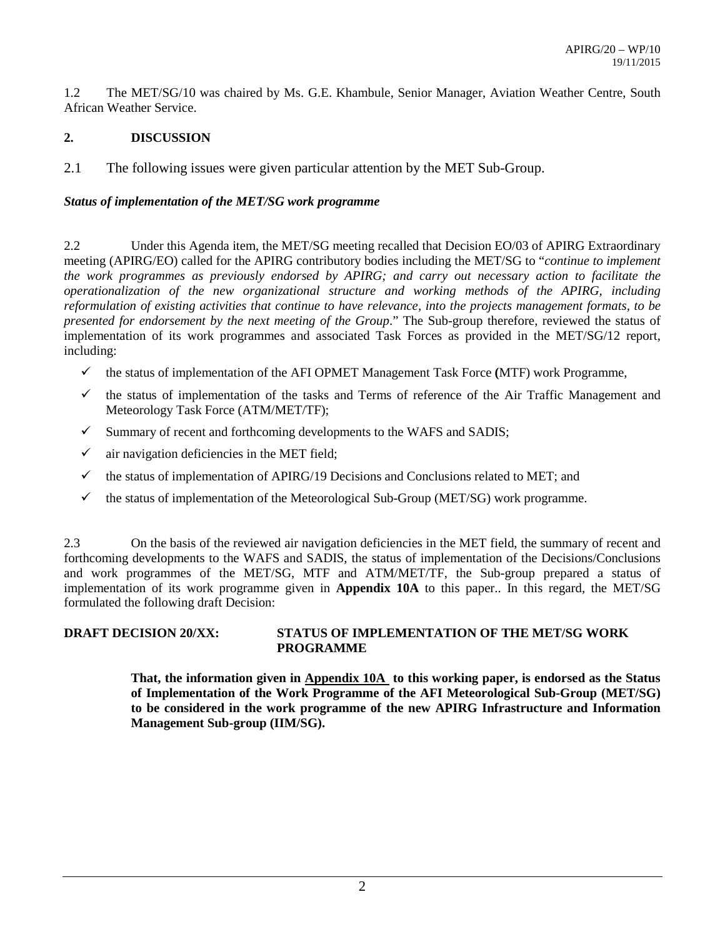1.2 The MET/SG/10 was chaired by Ms. G.E. Khambule, Senior Manager, Aviation Weather Centre, South African Weather Service.

# **2. DISCUSSION**

2.1 The following issues were given particular attention by the MET Sub-Group.

# *Status of implementation of the MET/SG work programme*

2.2 Under this Agenda item, the MET/SG meeting recalled that Decision EO/03 of APIRG Extraordinary meeting (APIRG/EO) called for the APIRG contributory bodies including the MET/SG to "*continue to implement the work programmes as previously endorsed by APIRG; and carry out necessary action to facilitate the operationalization of the new organizational structure and working methods of the APIRG, including reformulation of existing activities that continue to have relevance, into the projects management formats, to be presented for endorsement by the next meeting of the Group*." The Sub-group therefore, reviewed the status of implementation of its work programmes and associated Task Forces as provided in the MET/SG/12 report, including:

- $\checkmark$  the status of implementation of the AFI OPMET Management Task Force (MTF) work Programme,
- $\checkmark$  the status of implementation of the tasks and Terms of reference of the Air Traffic Management and Meteorology Task Force (ATM/MET/TF);
- $\checkmark$  Summary of recent and forthcoming developments to the WAFS and SADIS;
- $\checkmark$  air navigation deficiencies in the MET field;
- $\checkmark$  the status of implementation of APIRG/19 Decisions and Conclusions related to MET; and
- $\checkmark$  the status of implementation of the Meteorological Sub-Group (MET/SG) work programme.

2.3 On the basis of the reviewed air navigation deficiencies in the MET field, the summary of recent and forthcoming developments to the WAFS and SADIS, the status of implementation of the Decisions/Conclusions and work programmes of the MET/SG, MTF and ATM/MET/TF, the Sub-group prepared a status of implementation of its work programme given in **Appendix 10A** to this paper.. In this regard, the MET/SG formulated the following draft Decision:

# **DRAFT DECISION 20/XX: STATUS OF IMPLEMENTATION OF THE MET/SG WORK PROGRAMME**

**That, the information given in Appendix 10A to this working paper, is endorsed as the Status of Implementation of the Work Programme of the AFI Meteorological Sub-Group (MET/SG) to be considered in the work programme of the new APIRG Infrastructure and Information Management Sub-group (IIM/SG).**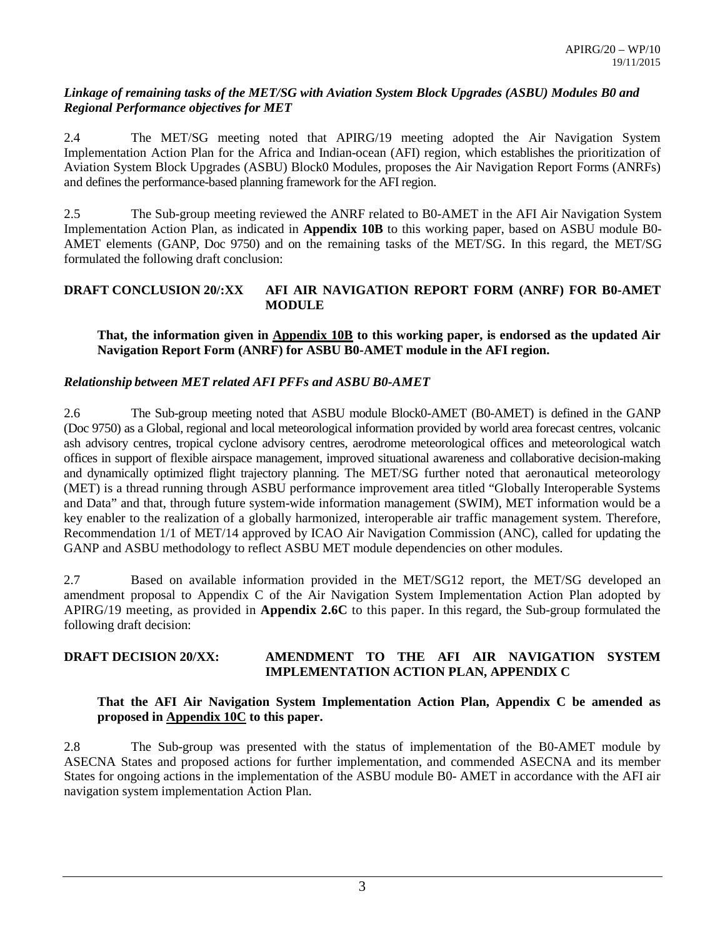#### *Linkage of remaining tasks of the MET/SG with Aviation System Block Upgrades (ASBU) Modules B0 and Regional Performance objectives for MET*

2.4 The MET/SG meeting noted that APIRG/19 meeting adopted the Air Navigation System Implementation Action Plan for the Africa and Indian-ocean (AFI) region, which establishes the prioritization of Aviation System Block Upgrades (ASBU) Block0 Modules, proposes the Air Navigation Report Forms (ANRFs) and defines the performance-based planning framework for the AFI region.

2.5 The Sub-group meeting reviewed the ANRF related to B0-AMET in the AFI Air Navigation System Implementation Action Plan, as indicated in **Appendix 10B** to this working paper, based on ASBU module B0- AMET elements (GANP, Doc 9750) and on the remaining tasks of the MET/SG. In this regard, the MET/SG formulated the following draft conclusion:

## **DRAFT CONCLUSION 20/:XX AFI AIR NAVIGATION REPORT FORM (ANRF) FOR B0-AMET MODULE**

## **That, the information given in Appendix 10B to this working paper, is endorsed as the updated Air Navigation Report Form (ANRF) for ASBU B0-AMET module in the AFI region.**

# *Relationship between MET related AFI PFFs and ASBU B0-AMET*

2.6 The Sub-group meeting noted that ASBU module Block0-AMET (B0-AMET) is defined in the GANP (Doc 9750) as a Global, regional and local meteorological information provided by world area forecast centres, volcanic ash advisory centres, tropical cyclone advisory centres, aerodrome meteorological offices and meteorological watch offices in support of flexible airspace management, improved situational awareness and collaborative decision-making and dynamically optimized flight trajectory planning. The MET/SG further noted that aeronautical meteorology (MET) is a thread running through ASBU performance improvement area titled "Globally Interoperable Systems and Data" and that, through future system-wide information management (SWIM), MET information would be a key enabler to the realization of a globally harmonized, interoperable air traffic management system. Therefore, Recommendation 1/1 of MET/14 approved by ICAO Air Navigation Commission (ANC), called for updating the GANP and ASBU methodology to reflect ASBU MET module dependencies on other modules.

2.7 Based on available information provided in the MET/SG12 report, the MET/SG developed an amendment proposal to Appendix C of the Air Navigation System Implementation Action Plan adopted by APIRG/19 meeting, as provided in **Appendix 2.6C** to this paper. In this regard, the Sub-group formulated the following draft decision:

## **DRAFT DECISION 20/XX: AMENDMENT TO THE AFI AIR NAVIGATION SYSTEM IMPLEMENTATION ACTION PLAN, APPENDIX C**

## **That the AFI Air Navigation System Implementation Action Plan, Appendix C be amended as proposed in Appendix 10C to this paper.**

2.8 The Sub-group was presented with the status of implementation of the B0-AMET module by ASECNA States and proposed actions for further implementation, and commended ASECNA and its member States for ongoing actions in the implementation of the ASBU module B0- AMET in accordance with the AFI air navigation system implementation Action Plan.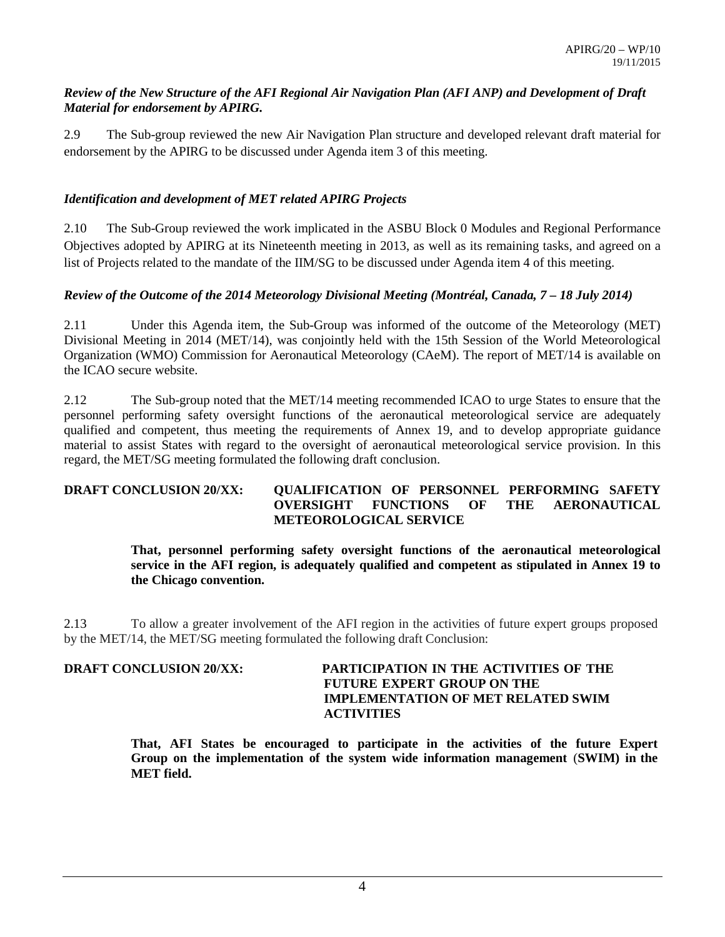## *Review of the New Structure of the AFI Regional Air Navigation Plan (AFI ANP) and Development of Draft Material for endorsement by APIRG.*

2.9 The Sub-group reviewed the new Air Navigation Plan structure and developed relevant draft material for endorsement by the APIRG to be discussed under Agenda item 3 of this meeting.

# *Identification and development of MET related APIRG Projects*

2.10 The Sub-Group reviewed the work implicated in the ASBU Block 0 Modules and Regional Performance Objectives adopted by APIRG at its Nineteenth meeting in 2013, as well as its remaining tasks, and agreed on a list of Projects related to the mandate of the IIM/SG to be discussed under Agenda item 4 of this meeting.

# *Review of the Outcome of the 2014 Meteorology Divisional Meeting (Montréal, Canada, 7 – 18 July 2014)*

2.11 Under this Agenda item, the Sub-Group was informed of the outcome of the Meteorology (MET) Divisional Meeting in 2014 (MET/14), was conjointly held with the 15th Session of the World Meteorological Organization (WMO) Commission for Aeronautical Meteorology (CAeM). The report of MET/14 is available on the ICAO secure website.

2.12 The Sub-group noted that the MET/14 meeting recommended ICAO to urge States to ensure that the personnel performing safety oversight functions of the aeronautical meteorological service are adequately qualified and competent, thus meeting the requirements of Annex 19, and to develop appropriate guidance material to assist States with regard to the oversight of aeronautical meteorological service provision. In this regard, the MET/SG meeting formulated the following draft conclusion.

## **DRAFT CONCLUSION 20/XX: QUALIFICATION OF PERSONNEL PERFORMING SAFETY OVERSIGHT FUNCTIONS OF THE AERONAUTICAL METEOROLOGICAL SERVICE**

**That, personnel performing safety oversight functions of the aeronautical meteorological service in the AFI region, is adequately qualified and competent as stipulated in Annex 19 to the Chicago convention.**

2.13 To allow a greater involvement of the AFI region in the activities of future expert groups proposed by the MET/14, the MET/SG meeting formulated the following draft Conclusion:

# **DRAFT CONCLUSION 20/XX: PARTICIPATION IN THE ACTIVITIES OF THE FUTURE EXPERT GROUP ON THE IMPLEMENTATION OF MET RELATED SWIM ACTIVITIES**

**That, AFI States be encouraged to participate in the activities of the future Expert Group on the implementation of the system wide information management** (**SWIM) in the MET field.**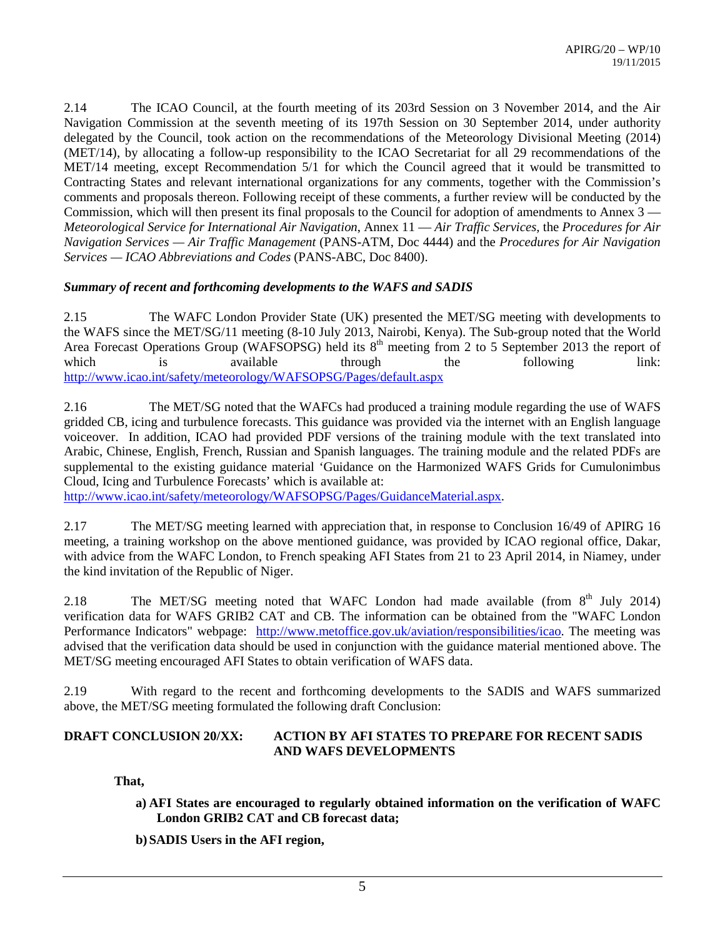2.14 The ICAO Council, at the fourth meeting of its 203rd Session on 3 November 2014, and the Air Navigation Commission at the seventh meeting of its 197th Session on 30 September 2014, under authority delegated by the Council, took action on the recommendations of the Meteorology Divisional Meeting (2014) (MET/14), by allocating a follow-up responsibility to the ICAO Secretariat for all 29 recommendations of the MET/14 meeting, except Recommendation 5/1 for which the Council agreed that it would be transmitted to Contracting States and relevant international organizations for any comments, together with the Commission's comments and proposals thereon. Following receipt of these comments, a further review will be conducted by the Commission, which will then present its final proposals to the Council for adoption of amendments to Annex 3 — *Meteorological Service for International Air Navigation*, Annex 11 — *Air Traffic Services,* the *Procedures for Air Navigation Services — Air Traffic Management* (PANS-ATM, Doc 4444) and the *Procedures for Air Navigation Services — ICAO Abbreviations and Codes* (PANS-ABC, Doc 8400).

## *Summary of recent and forthcoming developments to the WAFS and SADIS*

2.15 The WAFC London Provider State (UK) presented the MET/SG meeting with developments to the WAFS since the MET/SG/11 meeting (8-10 July 2013, Nairobi, Kenya). The Sub-group noted that the World Area Forecast Operations Group (WAFSOPSG) held its 8<sup>th</sup> meeting from 2 to 5 September 2013 the report of which is available through the following link: <http://www.icao.int/safety/meteorology/WAFSOPSG/Pages/default.aspx>

2.16 The MET/SG noted that the WAFCs had produced a training module regarding the use of WAFS gridded CB, icing and turbulence forecasts. This guidance was provided via the internet with an English language voiceover. In addition, ICAO had provided PDF versions of the training module with the text translated into Arabic, Chinese, English, French, Russian and Spanish languages. The training module and the related PDFs are supplemental to the existing guidance material ['Guidance on the Harmonized WAFS Grids for Cumulonimbus](http://www.icao.int/safety/meteorology/WAFSOPSG/Guidance%20Material/Guidance%20on%20the%20Harmonized%20WAFS%20Grids%20for%20Cumulonimbus%20Cloud,%20Icing%20and%20Turbulence%20Forecasts%20-%2011%20September%202012.pdf)  [Cloud, Icing and Turbulence Forecasts'](http://www.icao.int/safety/meteorology/WAFSOPSG/Guidance%20Material/Guidance%20on%20the%20Harmonized%20WAFS%20Grids%20for%20Cumulonimbus%20Cloud,%20Icing%20and%20Turbulence%20Forecasts%20-%2011%20September%202012.pdf) which is available at:

[http://www.icao.int/safety/meteorology/WAFSOPSG/Pages/GuidanceMaterial.aspx.](http://www.icao.int/safety/meteorology/WAFSOPSG/Pages/GuidanceMaterial.aspx)

2.17 The MET/SG meeting learned with appreciation that, in response to Conclusion 16/49 of APIRG 16 meeting, a training workshop on the above mentioned guidance, was provided by ICAO regional office, Dakar, with advice from the WAFC London, to French speaking AFI States from 21 to 23 April 2014, in Niamey, under the kind invitation of the Republic of Niger.

2.18 The MET/SG meeting noted that WAFC London had made available (from  $8<sup>th</sup>$  July 2014) verification data for WAFS GRIB2 CAT and CB. The information can be obtained from the "WAFC London Performance Indicators" webpage: [http://www.metoffice.gov.uk/aviation/responsibilities/icao.](http://www.metoffice.gov.uk/aviation/responsibilities/icao) The meeting was advised that the verification data should be used in conjunction with the guidance material mentioned above. The MET/SG meeting encouraged AFI States to obtain verification of WAFS data.

2.19 With regard to the recent and forthcoming developments to the SADIS and WAFS summarized above, the MET/SG meeting formulated the following draft Conclusion:

## **DRAFT CONCLUSION 20/XX: ACTION BY AFI STATES TO PREPARE FOR RECENT SADIS AND WAFS DEVELOPMENTS**

**That,** 

**a) AFI States are encouraged to regularly obtained information on the verification of WAFC London GRIB2 CAT and CB forecast data;**

**b) SADIS Users in the AFI region,**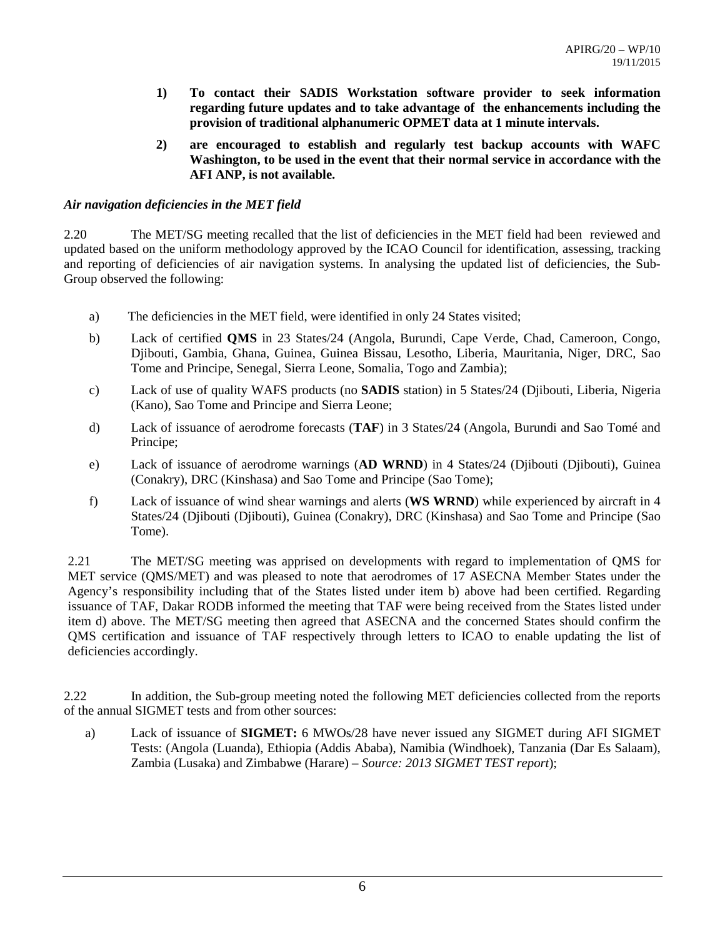- **1) To contact their SADIS Workstation software provider to seek information regarding future updates and to take advantage of the enhancements including the provision of traditional alphanumeric OPMET data at 1 minute intervals.**
- **2) are encouraged to establish and regularly test backup accounts with WAFC Washington, to be used in the event that their normal service in accordance with the AFI ANP, is not available.**

## *Air navigation deficiencies in the MET field*

2.20 The MET/SG meeting recalled that the list of deficiencies in the MET field had been reviewed and updated based on the uniform methodology approved by the ICAO Council for identification, assessing, tracking and reporting of deficiencies of air navigation systems. In analysing the updated list of deficiencies, the Sub-Group observed the following:

- a) The deficiencies in the MET field, were identified in only 24 States visited;
- b) Lack of certified **QMS** in 23 States/24 (Angola, Burundi, Cape Verde, Chad, Cameroon, Congo, Djibouti, Gambia, Ghana, Guinea, Guinea Bissau, Lesotho, Liberia, Mauritania, Niger, DRC, Sao Tome and Principe, Senegal, Sierra Leone, Somalia, Togo and Zambia);
- c) Lack of use of quality WAFS products (no **SADIS** station) in 5 States/24 (Djibouti, Liberia, Nigeria (Kano), Sao Tome and Principe and Sierra Leone;
- d) Lack of issuance of aerodrome forecasts (**TAF**) in 3 States/24 (Angola, Burundi and Sao Tomé and Principe;
- e) Lack of issuance of aerodrome warnings (**AD WRND**) in 4 States/24 (Djibouti (Djibouti), Guinea (Conakry), DRC (Kinshasa) and Sao Tome and Principe (Sao Tome);
- f) Lack of issuance of wind shear warnings and alerts (**WS WRND**) while experienced by aircraft in 4 States/24 (Djibouti (Djibouti), Guinea (Conakry), DRC (Kinshasa) and Sao Tome and Principe (Sao Tome).

2.21 The MET/SG meeting was apprised on developments with regard to implementation of QMS for MET service (QMS/MET) and was pleased to note that aerodromes of 17 ASECNA Member States under the Agency's responsibility including that of the States listed under item b) above had been certified. Regarding issuance of TAF, Dakar RODB informed the meeting that TAF were being received from the States listed under item d) above. The MET/SG meeting then agreed that ASECNA and the concerned States should confirm the QMS certification and issuance of TAF respectively through letters to ICAO to enable updating the list of deficiencies accordingly.

2.22 In addition, the Sub-group meeting noted the following MET deficiencies collected from the reports of the annual SIGMET tests and from other sources:

a) Lack of issuance of **SIGMET:** 6 MWOs/28 have never issued any SIGMET during AFI SIGMET Tests: (Angola (Luanda), Ethiopia (Addis Ababa), Namibia (Windhoek), Tanzania (Dar Es Salaam), Zambia (Lusaka) and Zimbabwe (Harare) – *Source: 2013 SIGMET TEST report*);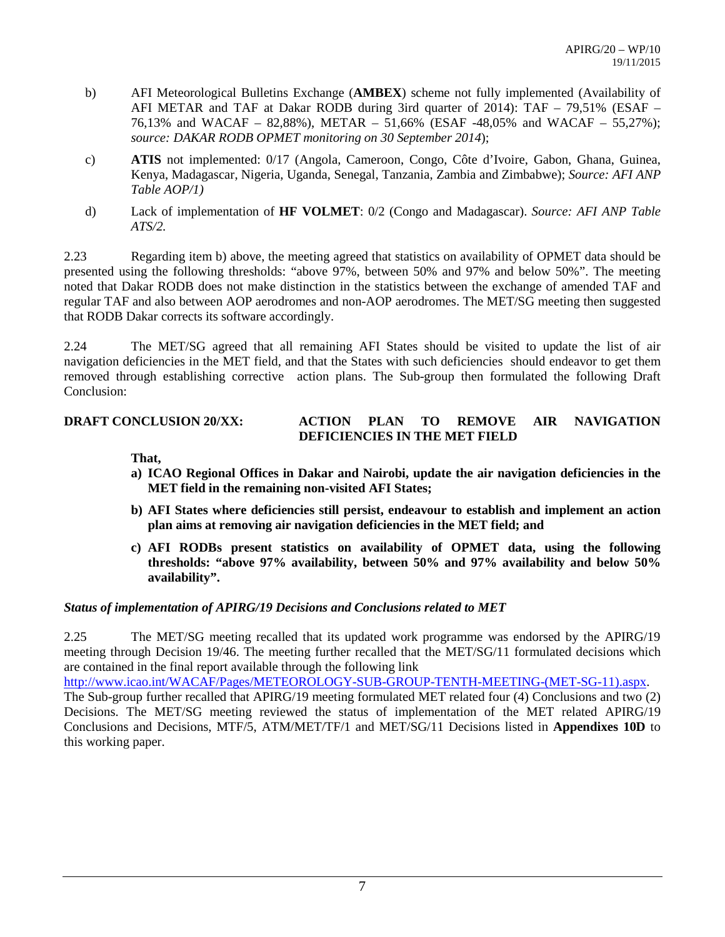- b) AFI Meteorological Bulletins Exchange (**AMBEX**) scheme not fully implemented (Availability of AFI METAR and TAF at Dakar RODB during 3ird quarter of 2014): TAF – 79,51% (ESAF – 76,13% and WACAF – 82,88%), METAR – 51,66% (ESAF -48,05% and WACAF – 55,27%); *source: DAKAR RODB OPMET monitoring on 30 September 2014*);
- c) **ATIS** not implemented: 0/17 (Angola, Cameroon, Congo, Côte d'Ivoire, Gabon, Ghana, Guinea, Kenya, Madagascar, Nigeria, Uganda, Senegal, Tanzania, Zambia and Zimbabwe); *Source: AFI ANP Table AOP/1)*
- d) Lack of implementation of **HF VOLMET**: 0/2 (Congo and Madagascar). *Source: AFI ANP Table ATS/2.*

2.23 Regarding item b) above, the meeting agreed that statistics on availability of OPMET data should be presented using the following thresholds: "above 97%, between 50% and 97% and below 50%". The meeting noted that Dakar RODB does not make distinction in the statistics between the exchange of amended TAF and regular TAF and also between AOP aerodromes and non-AOP aerodromes. The MET/SG meeting then suggested that RODB Dakar corrects its software accordingly.

2.24 The MET/SG agreed that all remaining AFI States should be visited to update the list of air navigation deficiencies in the MET field, and that the States with such deficiencies should endeavor to get them removed through establishing corrective action plans. The Sub-group then formulated the following Draft Conclusion:

## **DRAFT CONCLUSION 20/XX: ACTION PLAN TO REMOVE AIR NAVIGATION DEFICIENCIES IN THE MET FIELD**

# **That,**

- **a) ICAO Regional Offices in Dakar and Nairobi, update the air navigation deficiencies in the MET field in the remaining non-visited AFI States;**
- **b) AFI States where deficiencies still persist, endeavour to establish and implement an action plan aims at removing air navigation deficiencies in the MET field; and**
- **c) AFI RODBs present statistics on availability of OPMET data, using the following thresholds: "above 97% availability, between 50% and 97% availability and below 50% availability".**

#### *Status of implementation of APIRG/19 Decisions and Conclusions related to MET*

2.25 The MET/SG meeting recalled that its updated work programme was endorsed by the APIRG/19 meeting through Decision 19/46. The meeting further recalled that the MET/SG/11 formulated decisions which are contained in the final report available through the following link

[http://www.icao.int/WACAF/Pages/METEOROLOGY-SUB-GROUP-TENTH-MEETING-\(MET-SG-11\).aspx.](http://www.icao.int/WACAF/Pages/METEOROLOGY-SUB-GROUP-TENTH-MEETING-(MET-SG-11).aspx) The Sub-group further recalled that APIRG/19 meeting formulated MET related four (4) Conclusions and two (2) Decisions. The MET/SG meeting reviewed the status of implementation of the MET related APIRG/19 Conclusions and Decisions, MTF/5, ATM/MET/TF/1 and MET/SG/11 Decisions listed in **Appendixes 10D** to this working paper.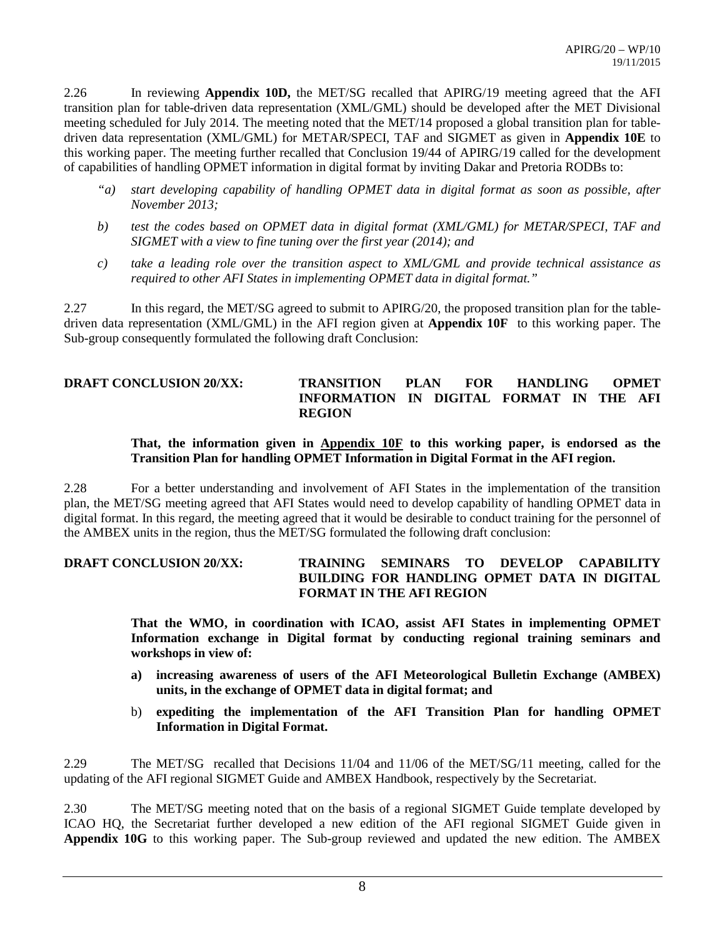2.26 In reviewing **Appendix 10D,** the MET/SG recalled that APIRG/19 meeting agreed that the AFI transition plan for table-driven data representation (XML/GML) should be developed after the MET Divisional meeting scheduled for July 2014. The meeting noted that the MET/14 proposed a global transition plan for tabledriven data representation (XML/GML) for METAR/SPECI, TAF and SIGMET as given in **Appendix 10E** to this working paper. The meeting further recalled that Conclusion 19/44 of APIRG/19 called for the development of capabilities of handling OPMET information in digital format by inviting Dakar and Pretoria RODBs to:

- *"a) start developing capability of handling OPMET data in digital format as soon as possible, after November 2013;*
- *b) test the codes based on OPMET data in digital format (XML/GML) for METAR/SPECI, TAF and SIGMET with a view to fine tuning over the first year (2014); and*
- *c) take a leading role over the transition aspect to XML/GML and provide technical assistance as required to other AFI States in implementing OPMET data in digital format."*

2.27 In this regard, the MET/SG agreed to submit to APIRG/20, the proposed transition plan for the tabledriven data representation (XML/GML) in the AFI region given at **Appendix 10F** to this working paper. The Sub-group consequently formulated the following draft Conclusion:

## **DRAFT CONCLUSION 20/XX: TRANSITION PLAN FOR HANDLING OPMET INFORMATION IN DIGITAL FORMAT IN THE AFI REGION**

#### **That, the information given in Appendix 10F to this working paper, is endorsed as the Transition Plan for handling OPMET Information in Digital Format in the AFI region.**

2.28 For a better understanding and involvement of AFI States in the implementation of the transition plan, the MET/SG meeting agreed that AFI States would need to develop capability of handling OPMET data in digital format. In this regard, the meeting agreed that it would be desirable to conduct training for the personnel of the AMBEX units in the region, thus the MET/SG formulated the following draft conclusion:

#### **DRAFT CONCLUSION 20/XX: TRAINING SEMINARS TO DEVELOP CAPABILITY BUILDING FOR HANDLING OPMET DATA IN DIGITAL FORMAT IN THE AFI REGION**

**That the WMO, in coordination with ICAO, assist AFI States in implementing OPMET Information exchange in Digital format by conducting regional training seminars and workshops in view of:**

- **a) increasing awareness of users of the AFI Meteorological Bulletin Exchange (AMBEX) units, in the exchange of OPMET data in digital format; and**
- b) **expediting the implementation of the AFI Transition Plan for handling OPMET Information in Digital Format.**

2.29 The MET/SG recalled that Decisions 11/04 and 11/06 of the MET/SG/11 meeting, called for the updating of the AFI regional SIGMET Guide and AMBEX Handbook, respectively by the Secretariat.

2.30 The MET/SG meeting noted that on the basis of a regional SIGMET Guide template developed by ICAO HQ, the Secretariat further developed a new edition of the AFI regional SIGMET Guide given in **Appendix 10G** to this working paper. The Sub-group reviewed and updated the new edition. The AMBEX